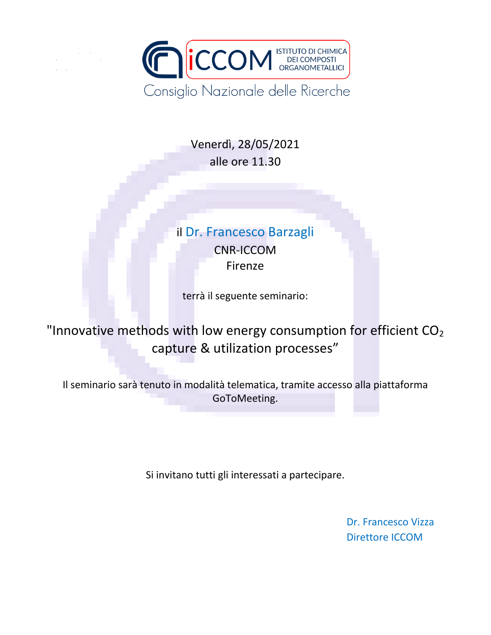

Venerdì, 28/05/2021 alle ore 11.30

## il Dr. Francesco Barzagli CNR-ICCOM Firenze

terrà il seguente seminario:

"Innovative methods with low energy consumption for efficient  $CO<sub>2</sub>$ capture & utilization processes"

Il seminario sarà tenuto in modalità telematica, tramite accesso alla piattaforma GoToMeeting.

Si invitano tutti gli interessati a partecipare.

Dr. Francesco Vizza Direttore ICCOM